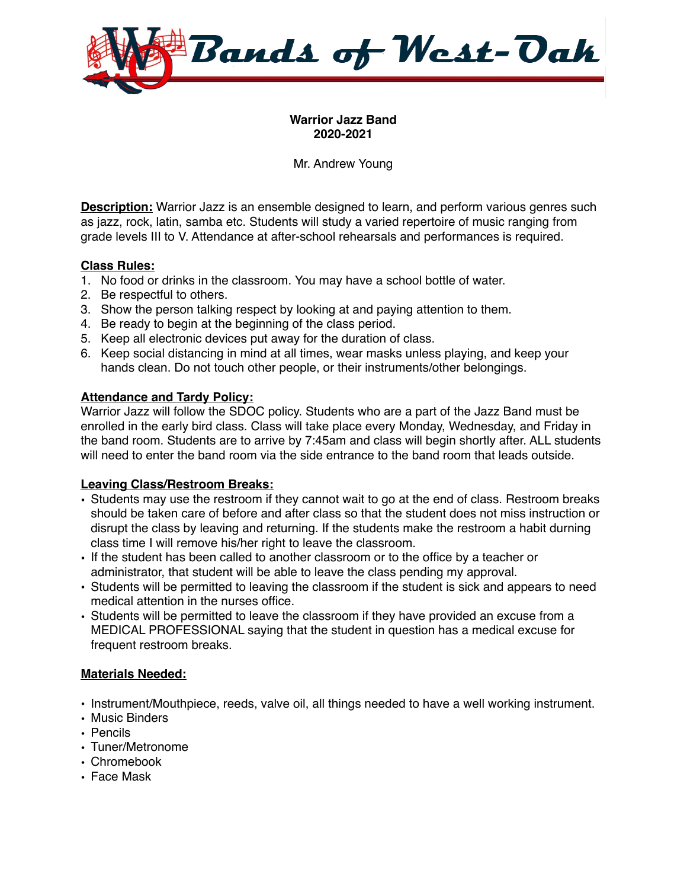

### **Warrior Jazz Band 2020-2021**

Mr. Andrew Young

**Description:** Warrior Jazz is an ensemble designed to learn, and perform various genres such as jazz, rock, latin, samba etc. Students will study a varied repertoire of music ranging from grade levels III to V. Attendance at after-school rehearsals and performances is required.

### **Class Rules:**

- 1. No food or drinks in the classroom. You may have a school bottle of water.
- 2. Be respectful to others.
- 3. Show the person talking respect by looking at and paying attention to them.
- 4. Be ready to begin at the beginning of the class period.
- 5. Keep all electronic devices put away for the duration of class.
- 6. Keep social distancing in mind at all times, wear masks unless playing, and keep your hands clean. Do not touch other people, or their instruments/other belongings.

#### **Attendance and Tardy Policy:**

Warrior Jazz will follow the SDOC policy. Students who are a part of the Jazz Band must be enrolled in the early bird class. Class will take place every Monday, Wednesday, and Friday in the band room. Students are to arrive by 7:45am and class will begin shortly after. ALL students will need to enter the band room via the side entrance to the band room that leads outside.

## **Leaving Class/Restroom Breaks:**

- Students may use the restroom if they cannot wait to go at the end of class. Restroom breaks should be taken care of before and after class so that the student does not miss instruction or disrupt the class by leaving and returning. If the students make the restroom a habit durning class time I will remove his/her right to leave the classroom.
- If the student has been called to another classroom or to the office by a teacher or administrator, that student will be able to leave the class pending my approval.
- Students will be permitted to leaving the classroom if the student is sick and appears to need medical attention in the nurses office.
- Students will be permitted to leave the classroom if they have provided an excuse from a MEDICAL PROFESSIONAL saying that the student in question has a medical excuse for frequent restroom breaks.

#### **Materials Needed:**

- Instrument/Mouthpiece, reeds, valve oil, all things needed to have a well working instrument.
- Music Binders
- Pencils
- Tuner/Metronome
- Chromebook
- Face Mask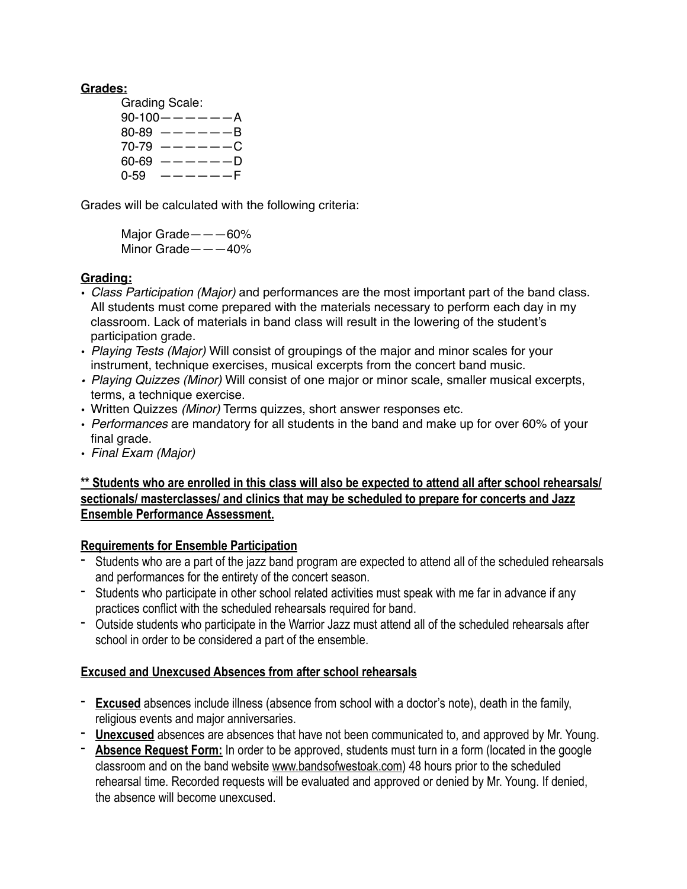### **Grades:**

Grading Scale:  $90-100$  -  $---$  -  $A$  $80-89$   $-- -B$  $70-79$   $-- -C$  $60-69$   $-- -D$  $0-59$   $---F$ 

Grades will be calculated with the following criteria:

Major Grade———60% Minor Grade———40%

## **Grading:**

- *Class Participation (Major)* and performances are the most important part of the band class. All students must come prepared with the materials necessary to perform each day in my classroom. Lack of materials in band class will result in the lowering of the student's participation grade.
- *Playing Tests (Major)* Will consist of groupings of the major and minor scales for your instrument, technique exercises, musical excerpts from the concert band music.
- *• Playing Quizzes (Minor)* Will consist of one major or minor scale, smaller musical excerpts, terms, a technique exercise.
- Written Quizzes *(Minor)* Terms quizzes, short answer responses etc.
- *Performances* are mandatory for all students in the band and make up for over 60% of your final grade.
- *Final Exam (Major)*

# **\*\* Students who are enrolled in this class will also be expected to attend all after school rehearsals/ sectionals/ masterclasses/ and clinics that may be scheduled to prepare for concerts and Jazz Ensemble Performance Assessment.**

## **Requirements for Ensemble Participation**

- Students who are a part of the jazz band program are expected to attend all of the scheduled rehearsals and performances for the entirety of the concert season.
- Students who participate in other school related activities must speak with me far in advance if any practices conflict with the scheduled rehearsals required for band.
- Outside students who participate in the Warrior Jazz must attend all of the scheduled rehearsals after school in order to be considered a part of the ensemble.

## **Excused and Unexcused Absences from after school rehearsals**

- **Excused** absences include illness (absence from school with a doctor's note), death in the family, religious events and major anniversaries.
- **Unexcused** absences are absences that have not been communicated to, and approved by Mr. Young.
- **Absence Request Form:** In order to be approved, students must turn in a form (located in the google classroom and on the band website [www.bandsofwestoak.com\)](http://www.bandsofwestoak.com) 48 hours prior to the scheduled rehearsal time. Recorded requests will be evaluated and approved or denied by Mr. Young. If denied, the absence will become unexcused.